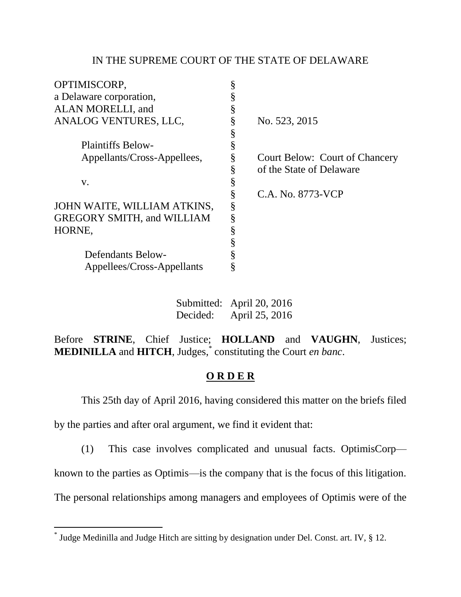## IN THE SUPREME COURT OF THE STATE OF DELAWARE

|   | No. 523, 2015                         |
|---|---------------------------------------|
|   |                                       |
|   |                                       |
| § | <b>Court Below: Court of Chancery</b> |
| Ş | of the State of Delaware              |
|   |                                       |
| § | C.A. No. 8773-VCP                     |
| § |                                       |
| § |                                       |
|   |                                       |
|   |                                       |
|   |                                       |
|   |                                       |
|   |                                       |

| Submitted: April 20, 2016 |                |  |
|---------------------------|----------------|--|
| Decided:                  | April 25, 2016 |  |

Before **STRINE**, Chief Justice; **HOLLAND** and **VAUGHN**, Justices; **MEDINILLA** and **HITCH**, Judges, \* constituting the Court *en banc*.

## **O R D E R**

This 25th day of April 2016, having considered this matter on the briefs filed

by the parties and after oral argument, we find it evident that:

(1) This case involves complicated and unusual facts. OptimisCorp—

known to the parties as Optimis—is the company that is the focus of this litigation.

The personal relationships among managers and employees of Optimis were of the

 \* Judge Medinilla and Judge Hitch are sitting by designation under Del. Const. art. IV, § 12.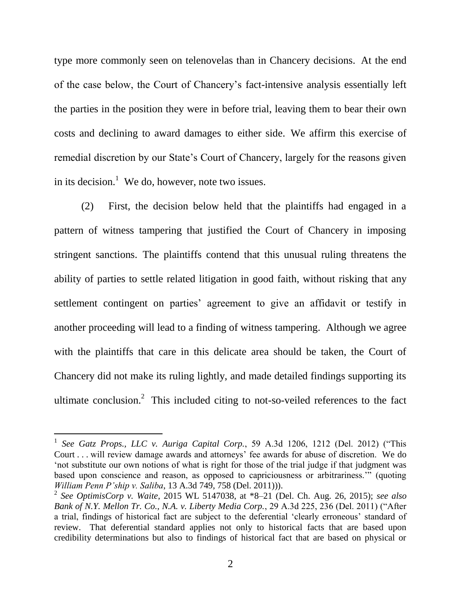type more commonly seen on telenovelas than in Chancery decisions. At the end of the case below, the Court of Chancery's fact-intensive analysis essentially left the parties in the position they were in before trial, leaving them to bear their own costs and declining to award damages to either side. We affirm this exercise of remedial discretion by our State's Court of Chancery, largely for the reasons given in its decision.<sup>1</sup> We do, however, note two issues.

(2) First, the decision below held that the plaintiffs had engaged in a pattern of witness tampering that justified the Court of Chancery in imposing stringent sanctions. The plaintiffs contend that this unusual ruling threatens the ability of parties to settle related litigation in good faith, without risking that any settlement contingent on parties' agreement to give an affidavit or testify in another proceeding will lead to a finding of witness tampering. Although we agree with the plaintiffs that care in this delicate area should be taken, the Court of Chancery did not make its ruling lightly, and made detailed findings supporting its ultimate conclusion.<sup>2</sup> This included citing to not-so-veiled references to the fact

<sup>&</sup>lt;sup>1</sup> See Gatz Props., LLC v. Auriga Capital Corp., 59 A.3d 1206, 1212 (Del. 2012) ("This Court . . . will review damage awards and attorneys' fee awards for abuse of discretion. We do ‗not substitute our own notions of what is right for those of the trial judge if that judgment was based upon conscience and reason, as opposed to capriciousness or arbitrariness." (quoting *William Penn P'ship v. Saliba*, 13 A.3d 749, 758 (Del. 2011))).

<sup>2</sup> *See OptimisCorp v. Waite*, 2015 WL 5147038, at \*8–21 (Del. Ch. Aug. 26, 2015); *see also Bank of N.Y. Mellon Tr. Co., N.A. v. Liberty Media Corp.*, 29 A.3d 225, 236 (Del. 2011) ("After a trial, findings of historical fact are subject to the deferential 'clearly erroneous' standard of review. That deferential standard applies not only to historical facts that are based upon credibility determinations but also to findings of historical fact that are based on physical or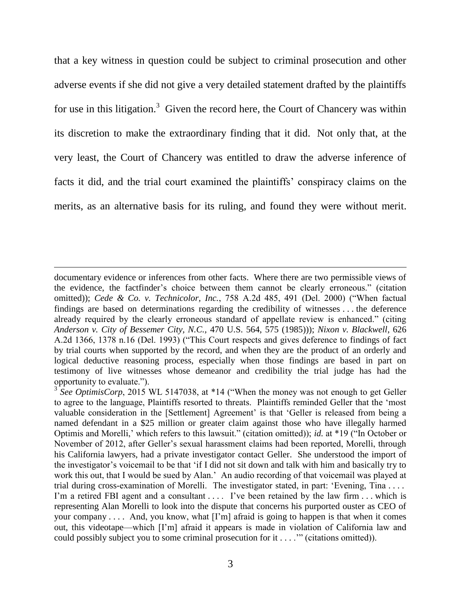that a key witness in question could be subject to criminal prosecution and other adverse events if she did not give a very detailed statement drafted by the plaintiffs for use in this litigation.<sup>3</sup> Given the record here, the Court of Chancery was within its discretion to make the extraordinary finding that it did. Not only that, at the very least, the Court of Chancery was entitled to draw the adverse inference of facts it did, and the trial court examined the plaintiffs' conspiracy claims on the merits, as an alternative basis for its ruling, and found they were without merit.

documentary evidence or inferences from other facts. Where there are two permissible views of the evidence, the factfinder's choice between them cannot be clearly erroneous." (citation omitted)); *Cede & Co. v. Technicolor, Inc.*, 758 A.2d 485, 491 (Del. 2000) ("When factual findings are based on determinations regarding the credibility of witnesses . . . the deference already required by the clearly erroneous standard of appellate review is enhanced." (citing *Anderson v. City of Bessemer City, N.C.,* 470 U.S. 564, 575 (1985))); *Nixon v. Blackwell*, 626 A.2d 1366, 1378 n.16 (Del. 1993) ("This Court respects and gives deference to findings of fact by trial courts when supported by the record, and when they are the product of an orderly and logical deductive reasoning process, especially when those findings are based in part on testimony of live witnesses whose demeanor and credibility the trial judge has had the opportunity to evaluate.").

 $3 \text{ See } Optimis Corp$ , 2015 WL 5147038, at  $*14$  ("When the money was not enough to get Geller to agree to the language, Plaintiffs resorted to threats. Plaintiffs reminded Geller that the 'most valuable consideration in the [Settlement] Agreement' is that 'Geller is released from being a named defendant in a \$25 million or greater claim against those who have illegally harmed Optimis and Morelli,' which refers to this lawsuit." (citation omitted)); *id.* at \*19 ("In October or November of 2012, after Geller's sexual harassment claims had been reported, Morelli, through his California lawyers, had a private investigator contact Geller. She understood the import of the investigator's voicemail to be that ‗if I did not sit down and talk with him and basically try to work this out, that I would be sued by Alan.' An audio recording of that voicemail was played at trial during cross-examination of Morelli. The investigator stated, in part: 'Evening, Tina .... I'm a retired FBI agent and a consultant  $\dots$ . I've been retained by the law firm  $\dots$  which is representing Alan Morelli to look into the dispute that concerns his purported ouster as CEO of your company  $\dots$ . And, you know, what  $[I'm]$  afraid is going to happen is that when it comes out, this videotape—which [I'm] afraid it appears is made in violation of California law and could possibly subject you to some criminal prosecution for it  $\dots$ ." (citations omitted)).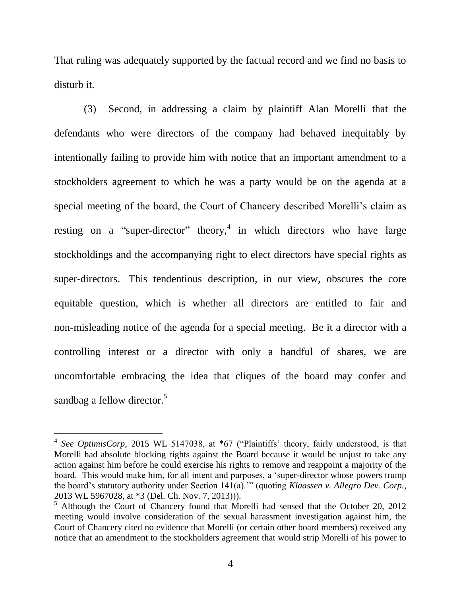That ruling was adequately supported by the factual record and we find no basis to disturb it.

(3) Second, in addressing a claim by plaintiff Alan Morelli that the defendants who were directors of the company had behaved inequitably by intentionally failing to provide him with notice that an important amendment to a stockholders agreement to which he was a party would be on the agenda at a special meeting of the board, the Court of Chancery described Morelli's claim as resting on a "super-director" theory,<sup>4</sup> in which directors who have large stockholdings and the accompanying right to elect directors have special rights as super-directors. This tendentious description, in our view, obscures the core equitable question, which is whether all directors are entitled to fair and non-misleading notice of the agenda for a special meeting. Be it a director with a controlling interest or a director with only a handful of shares, we are uncomfortable embracing the idea that cliques of the board may confer and sandbag a fellow director.<sup>5</sup>

<sup>&</sup>lt;sup>4</sup> See OptimisCorp, 2015 WL 5147038, at \*67 ("Plaintiffs' theory, fairly understood, is that Morelli had absolute blocking rights against the Board because it would be unjust to take any action against him before he could exercise his rights to remove and reappoint a majority of the board. This would make him, for all intent and purposes, a 'super-director whose powers trump the board's statutory authority under Section 141(a)."" (quoting *Klaassen v. Allegro Dev. Corp.*, 2013 WL 5967028, at \*3 (Del. Ch. Nov. 7, 2013))).

<sup>&</sup>lt;sup>5</sup> Although the Court of Chancery found that Morelli had sensed that the October 20, 2012 meeting would involve consideration of the sexual harassment investigation against him, the Court of Chancery cited no evidence that Morelli (or certain other board members) received any notice that an amendment to the stockholders agreement that would strip Morelli of his power to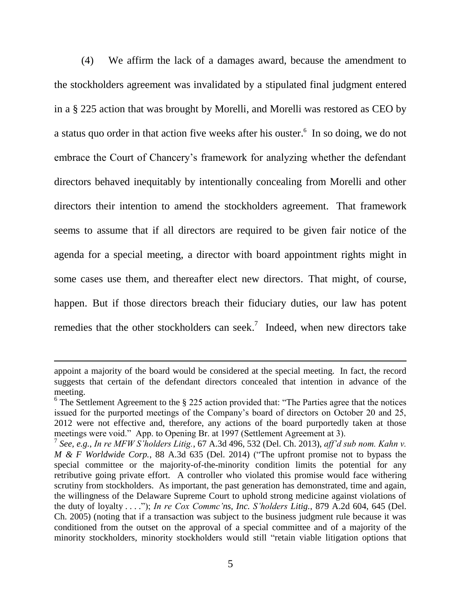(4) We affirm the lack of a damages award, because the amendment to the stockholders agreement was invalidated by a stipulated final judgment entered in a § 225 action that was brought by Morelli, and Morelli was restored as CEO by a status quo order in that action five weeks after his ouster. 6 In so doing, we do not embrace the Court of Chancery's framework for analyzing whether the defendant directors behaved inequitably by intentionally concealing from Morelli and other directors their intention to amend the stockholders agreement. That framework seems to assume that if all directors are required to be given fair notice of the agenda for a special meeting, a director with board appointment rights might in some cases use them, and thereafter elect new directors. That might, of course, happen. But if those directors breach their fiduciary duties, our law has potent remedies that the other stockholders can seek.<sup>7</sup> Indeed, when new directors take

appoint a majority of the board would be considered at the special meeting. In fact, the record suggests that certain of the defendant directors concealed that intention in advance of the meeting.

 $6$  The Settlement Agreement to the  $\S$  225 action provided that: "The Parties agree that the notices issued for the purported meetings of the Company's board of directors on October 20 and 25, 2012 were not effective and, therefore, any actions of the board purportedly taken at those meetings were void." App. to Opening Br. at 1997 (Settlement Agreement at 3).

<sup>7</sup> *See, e.g.*, *In re MFW S'holders Litig.*, 67 A.3d 496, 532 (Del. Ch. 2013), *aff'd sub nom. Kahn v. M & F Worldwide Corp.*, 88 A.3d  $\overline{635}$  (Del. 2014) ("The upfront promise not to bypass the special committee or the majority-of-the-minority condition limits the potential for any retributive going private effort. A controller who violated this promise would face withering scrutiny from stockholders. As important, the past generation has demonstrated, time and again, the willingness of the Delaware Supreme Court to uphold strong medicine against violations of the duty of loyalty . . . ."); *In re Cox Commc'ns, Inc. S'holders Litig.*, 879 A.2d 604, 645 (Del.) Ch. 2005) (noting that if a transaction was subject to the business judgment rule because it was conditioned from the outset on the approval of a special committee and of a majority of the minority stockholders, minority stockholders would still "retain viable litigation options that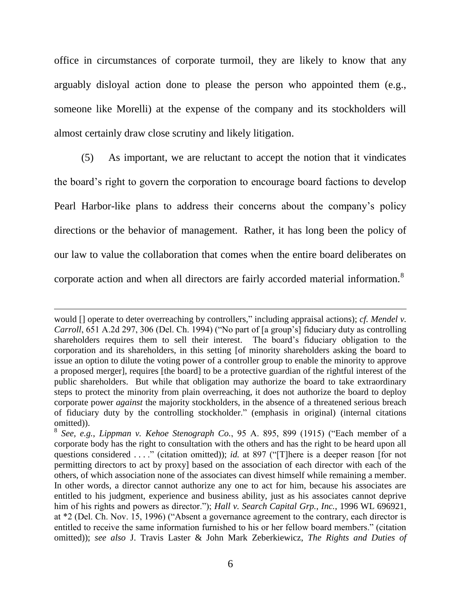office in circumstances of corporate turmoil, they are likely to know that any arguably disloyal action done to please the person who appointed them (e.g., someone like Morelli) at the expense of the company and its stockholders will almost certainly draw close scrutiny and likely litigation.

(5) As important, we are reluctant to accept the notion that it vindicates the board's right to govern the corporation to encourage board factions to develop Pearl Harbor-like plans to address their concerns about the company's policy directions or the behavior of management. Rather, it has long been the policy of our law to value the collaboration that comes when the entire board deliberates on corporate action and when all directors are fairly accorded material information.<sup>8</sup>

would [] operate to deter overreaching by controllers," including appraisal actions); *cf. Mendel v. Carroll*, 651 A.2d 297, 306 (Del. Ch. 1994) ("No part of [a group's] fiduciary duty as controlling shareholders requires them to sell their interest. The board's fiduciary obligation to the corporation and its shareholders, in this setting [of minority shareholders asking the board to issue an option to dilute the voting power of a controller group to enable the minority to approve a proposed merger], requires [the board] to be a protective guardian of the rightful interest of the public shareholders. But while that obligation may authorize the board to take extraordinary steps to protect the minority from plain overreaching, it does not authorize the board to deploy corporate power *against* the majority stockholders, in the absence of a threatened serious breach of fiduciary duty by the controlling stockholder.‖ (emphasis in original) (internal citations omitted)).

<sup>&</sup>lt;sup>8</sup> See, e.g., *Lippman v. Kehoe Stenograph Co.*, 95 A. 895, 899 (1915) ("Each member of a corporate body has the right to consultation with the others and has the right to be heard upon all questions considered . . . ." (citation omitted)); *id.* at 897 ("There is a deeper reason [for not permitting directors to act by proxy] based on the association of each director with each of the others, of which association none of the associates can divest himself while remaining a member. In other words, a director cannot authorize any one to act for him, because his associates are entitled to his judgment, experience and business ability, just as his associates cannot deprive him of his rights and powers as director."); *Hall v. Search Capital Grp., Inc.*, 1996 WL 696921, at \*2 (Del. Ch. Nov. 15, 1996) ("Absent a governance agreement to the contrary, each director is entitled to receive the same information furnished to his or her fellow board members." (citation omitted)); *see also* J. Travis Laster & John Mark Zeberkiewicz, *The Rights and Duties of*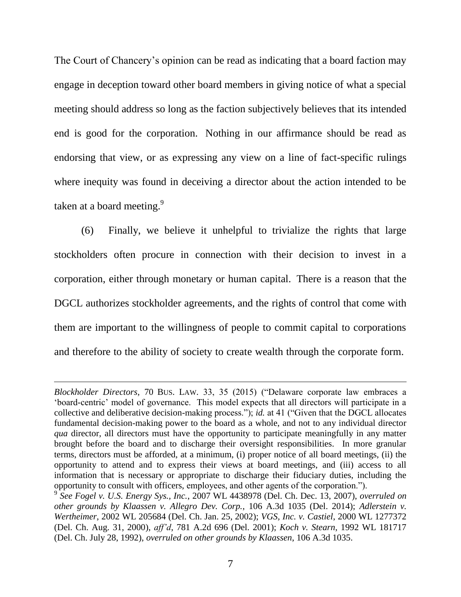The Court of Chancery's opinion can be read as indicating that a board faction may engage in deception toward other board members in giving notice of what a special meeting should address so long as the faction subjectively believes that its intended end is good for the corporation. Nothing in our affirmance should be read as endorsing that view, or as expressing any view on a line of fact-specific rulings where inequity was found in deceiving a director about the action intended to be taken at a board meeting. $9$ 

(6) Finally, we believe it unhelpful to trivialize the rights that large stockholders often procure in connection with their decision to invest in a corporation, either through monetary or human capital. There is a reason that the DGCL authorizes stockholder agreements, and the rights of control that come with them are important to the willingness of people to commit capital to corporations and therefore to the ability of society to create wealth through the corporate form.

*Blockholder Directors*, 70 BUS. LAW. 33, 35 (2015) ("Delaware corporate law embraces a ‗board-centric' model of governance. This model expects that all directors will participate in a collective and deliberative decision-making process."); *id.* at 41 ("Given that the DGCL allocates fundamental decision-making power to the board as a whole, and not to any individual director *qua* director, all directors must have the opportunity to participate meaningfully in any matter brought before the board and to discharge their oversight responsibilities. In more granular terms, directors must be afforded, at a minimum, (i) proper notice of all board meetings, (ii) the opportunity to attend and to express their views at board meetings, and (iii) access to all information that is necessary or appropriate to discharge their fiduciary duties, including the opportunity to consult with officers, employees, and other agents of the corporation.").

<sup>9</sup> *See Fogel v. U.S. Energy Sys., Inc.*, 2007 WL 4438978 (Del. Ch. Dec. 13, 2007), *overruled on other grounds by Klaassen v. Allegro Dev. Corp.*, 106 A.3d 1035 (Del. 2014); *Adlerstein v. Wertheimer*, 2002 WL 205684 (Del. Ch. Jan. 25, 2002); *VGS, Inc. v. Castiel*, 2000 WL 1277372 (Del. Ch. Aug. 31, 2000), *aff'd*, 781 A.2d 696 (Del. 2001); *Koch v. Stearn*, 1992 WL 181717 (Del. Ch. July 28, 1992), *overruled on other grounds by Klaassen*, 106 A.3d 1035.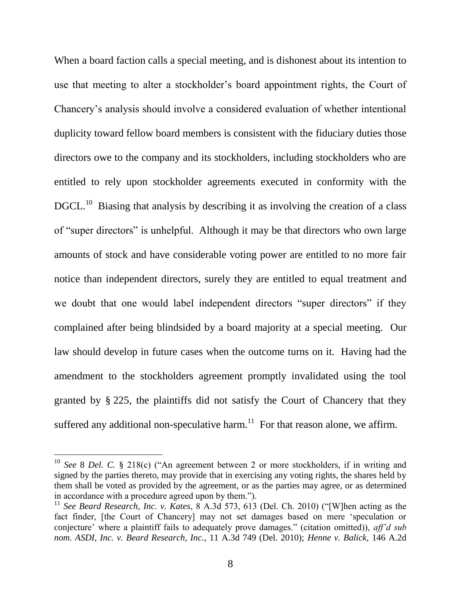When a board faction calls a special meeting, and is dishonest about its intention to use that meeting to alter a stockholder's board appointment rights, the Court of Chancery's analysis should involve a considered evaluation of whether intentional duplicity toward fellow board members is consistent with the fiduciary duties those directors owe to the company and its stockholders, including stockholders who are entitled to rely upon stockholder agreements executed in conformity with the DGCL.<sup>10</sup> Biasing that analysis by describing it as involving the creation of a class of "super directors" is unhelpful. Although it may be that directors who own large amounts of stock and have considerable voting power are entitled to no more fair notice than independent directors, surely they are entitled to equal treatment and we doubt that one would label independent directors "super directors" if they complained after being blindsided by a board majority at a special meeting. Our law should develop in future cases when the outcome turns on it. Having had the amendment to the stockholders agreement promptly invalidated using the tool granted by § 225, the plaintiffs did not satisfy the Court of Chancery that they suffered any additional non-speculative harm.<sup>11</sup> For that reason alone, we affirm.

l

 $10$  *See* 8 *Del.* C. § 218(c) ("An agreement between 2 or more stockholders, if in writing and signed by the parties thereto, may provide that in exercising any voting rights, the shares held by them shall be voted as provided by the agreement, or as the parties may agree, or as determined in accordance with a procedure agreed upon by them.").

<sup>&</sup>lt;sup>11</sup> See Beard Research, Inc. v. Kates,  $\frac{8}{3}$  A.3d 573, 613 (Del. Ch. 2010) ("[W]hen acting as the fact finder, [the Court of Chancery] may not set damages based on mere 'speculation or conjecture' where a plaintiff fails to adequately prove damages." (citation omitted)), *aff'd sub nom. ASDI, Inc. v. Beard Research, Inc.*, 11 A.3d 749 (Del. 2010); *Henne v. Balick*, 146 A.2d